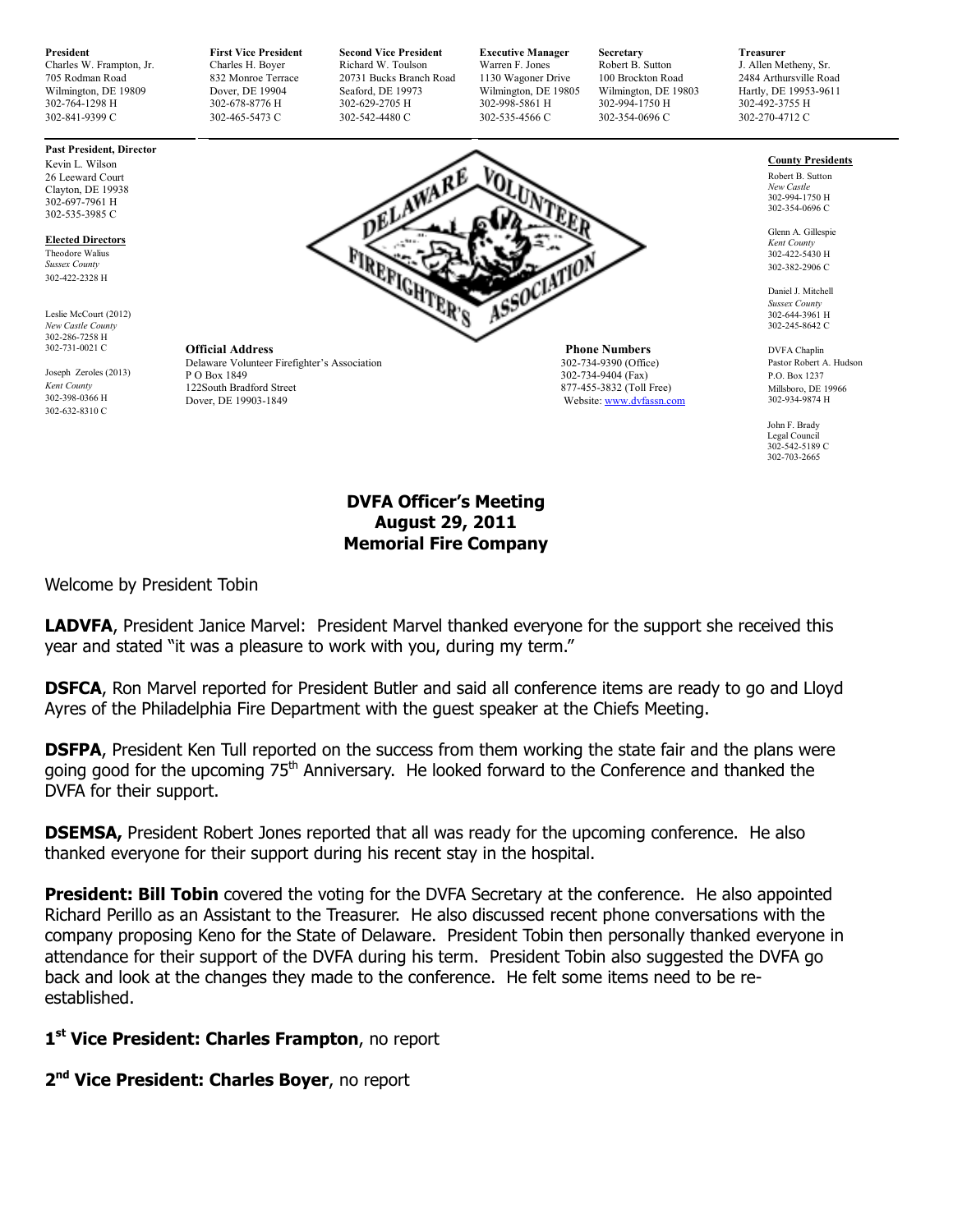**President First Vice President Second Vice President Executive Manager Secretary Treasurer Treasurer Charles H. Boyer Richard W. Toulson Warren F. Jones Robert B. Sutton J. Allen Metheny, Sr. (2014) Charles H. Boyer Richa** Charles W. Frampton, Jr. Charles H. Boyer Richard W. Toulson Warren F. Jones Robert B. Sutton J. Allen Metheny, Sr.<br>
20071 Bucks Branch Road 1130 Wagoner Drive 100 Brockton Road 2484 Arthursville Road 705 Rodman Road 832 Monroe Terrace 20731 Bucks Branch Road 1130 Wagoner Drive 100 Brockton Road<br>1130 Wagoner Drive 1980 Arthursville Road 2007 Arthursville Road 2484 Arthursville Road 2484 Arthursville Road Wilmington, DE 19809 Dover, DE 19904 Seaford, DE 19973 Wilmington, DE 19805 Wilmington, DE 19803 Hartly, DE 19953-9611<br>
302-764-1298 H 302-492-3755 H 302-629-2705 H 302-629-2705 H 302-998-5861 H 302-994-1750 H 302-942-3755 302-764-1298 H 302-678-8776 H 302-629-2705 H 302-998-5861 H 302-994-1750 H 302-492-3755 H

302-841-9399 C 302-465-5473 C 302-542-4480 C 302-535-4566 C 302-354-0696 C 302-270-4712 C

# **Past President, Director**

Kevin L. Wilson 26 Leeward Court Clayton, DE 19938 302-697-7961 H 302-535-3985 C

**Elected Directors**

Theodore Walius *Sussex County*  302-422-2328 H

Leslie McCourt (2012) *New Castle County*  302-286-7258 H 302-731-0021 C

Joseph Zeroles (2013) *Kent County*  302-398-0366 H 302-632-8310 C



**Official Address** Phone Numbers Delaware Volunteer Firefighter's Association 202-734-9390 (Office) Delaware Volunteer Firefighter's Association<br>P O Box 1849 P O Box 1849 302-734-9404 (Fax) 302-734-9404 (Fax) 302-734-9404 (Fax) 302-734-9404 (Fax) 122South Bradford Street 877-455-3832 (Toll Free)<br>
Dover DE 19903-1849

Website: www.dvfassn.com

### **County Presidents**

Robert B. Sutton *New Castle*  302-994-1750 H 302-354-0696 C

Glenn A. Gillespie *Kent County*  302-422-5430 H 302-382-2906 C

Daniel J. Mitchell *Sussex County*  302-644-3961 H 302-245-8642 C

DVFA Chaplin Pastor Robert A. Hudson P.O. Box 1237 Millsboro, DE 19966 302-934-9874 H

John F. Brady Legal Council 302-542-5189 C 302-703-2665

### **DVFA Officer's Meeting August 29, 2011 Memorial Fire Company**

Welcome by President Tobin

**LADVFA**, President Janice Marvel: President Marvel thanked everyone for the support she received this year and stated "it was a pleasure to work with you, during my term."

**DSFCA**, Ron Marvel reported for President Butler and said all conference items are ready to go and Lloyd Ayres of the Philadelphia Fire Department with the guest speaker at the Chiefs Meeting.

**DSFPA**, President Ken Tull reported on the success from them working the state fair and the plans were going good for the upcoming 75<sup>th</sup> Anniversary. He looked forward to the Conference and thanked the DVFA for their support.

**DSEMSA,** President Robert Jones reported that all was ready for the upcoming conference. He also thanked everyone for their support during his recent stay in the hospital.

**President: Bill Tobin** covered the voting for the DVFA Secretary at the conference. He also appointed Richard Perillo as an Assistant to the Treasurer. He also discussed recent phone conversations with the company proposing Keno for the State of Delaware. President Tobin then personally thanked everyone in attendance for their support of the DVFA during his term. President Tobin also suggested the DVFA go back and look at the changes they made to the conference. He felt some items need to be reestablished.

## **1 st Vice President: Charles Frampton**, no report

**2 nd Vice President: Charles Boyer**, no report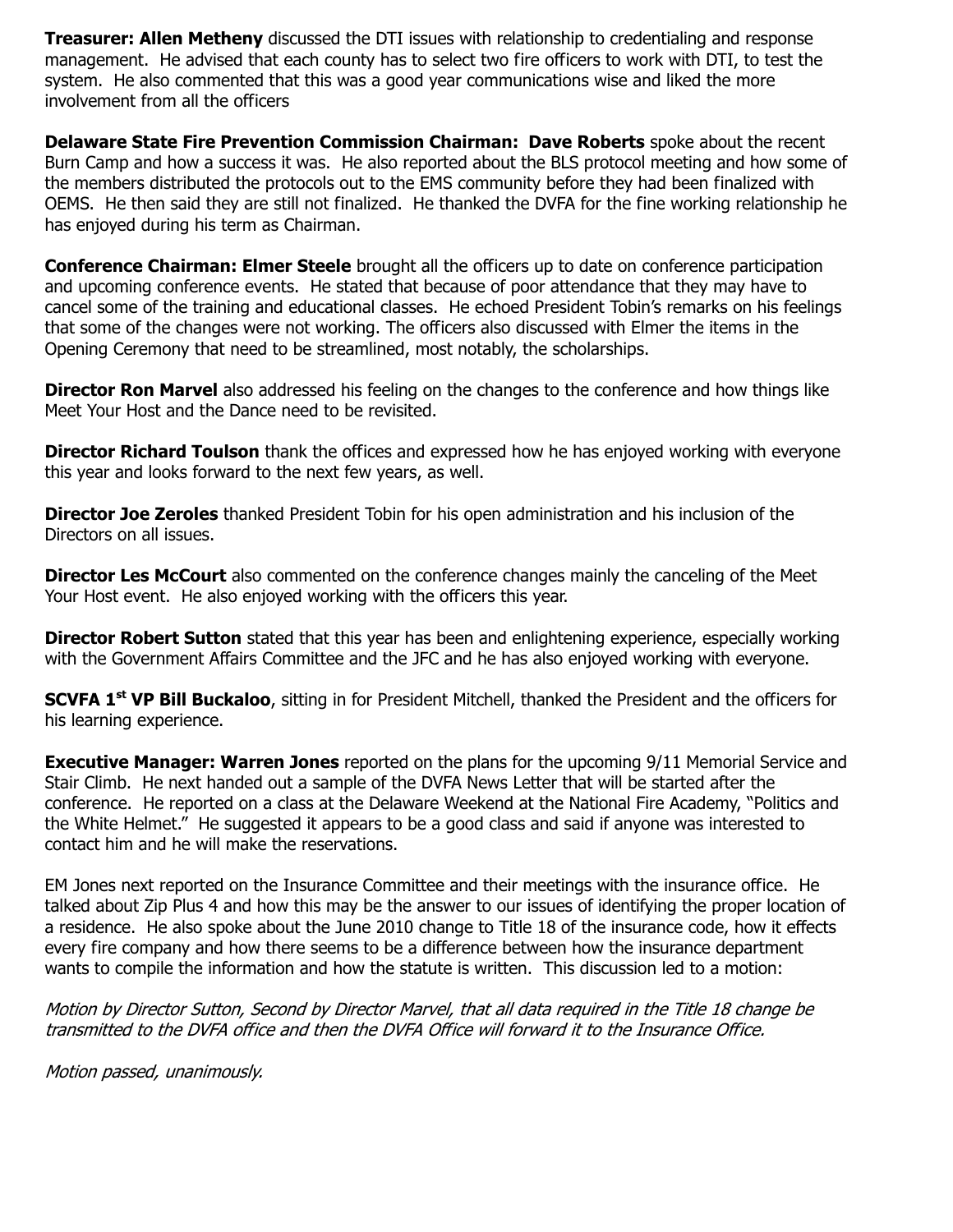**Treasurer: Allen Metheny** discussed the DTI issues with relationship to credentialing and response management. He advised that each county has to select two fire officers to work with DTI, to test the system. He also commented that this was a good year communications wise and liked the more involvement from all the officers

**Delaware State Fire Prevention Commission Chairman: Dave Roberts** spoke about the recent Burn Camp and how a success it was. He also reported about the BLS protocol meeting and how some of the members distributed the protocols out to the EMS community before they had been finalized with OEMS. He then said they are still not finalized. He thanked the DVFA for the fine working relationship he has enjoyed during his term as Chairman.

**Conference Chairman: Elmer Steele** brought all the officers up to date on conference participation and upcoming conference events. He stated that because of poor attendance that they may have to cancel some of the training and educational classes. He echoed President Tobin's remarks on his feelings that some of the changes were not working. The officers also discussed with Elmer the items in the Opening Ceremony that need to be streamlined, most notably, the scholarships.

**Director Ron Marvel** also addressed his feeling on the changes to the conference and how things like Meet Your Host and the Dance need to be revisited.

**Director Richard Toulson** thank the offices and expressed how he has enjoyed working with everyone this year and looks forward to the next few years, as well.

**Director Joe Zeroles** thanked President Tobin for his open administration and his inclusion of the Directors on all issues.

**Director Les McCourt** also commented on the conference changes mainly the canceling of the Meet Your Host event. He also enjoyed working with the officers this year.

**Director Robert Sutton** stated that this year has been and enlightening experience, especially working with the Government Affairs Committee and the JFC and he has also enjoyed working with everyone.

**SCVFA 1st VP Bill Buckaloo**, sitting in for President Mitchell, thanked the President and the officers for his learning experience.

**Executive Manager: Warren Jones** reported on the plans for the upcoming 9/11 Memorial Service and Stair Climb. He next handed out a sample of the DVFA News Letter that will be started after the conference. He reported on a class at the Delaware Weekend at the National Fire Academy, "Politics and the White Helmet." He suggested it appears to be a good class and said if anyone was interested to contact him and he will make the reservations.

EM Jones next reported on the Insurance Committee and their meetings with the insurance office. He talked about Zip Plus 4 and how this may be the answer to our issues of identifying the proper location of a residence. He also spoke about the June 2010 change to Title 18 of the insurance code, how it effects every fire company and how there seems to be a difference between how the insurance department wants to compile the information and how the statute is written. This discussion led to a motion:

Motion by Director Sutton, Second by Director Marvel, that all data required in the Title 18 change be transmitted to the DVFA office and then the DVFA Office will forward it to the Insurance Office.

Motion passed, unanimously.